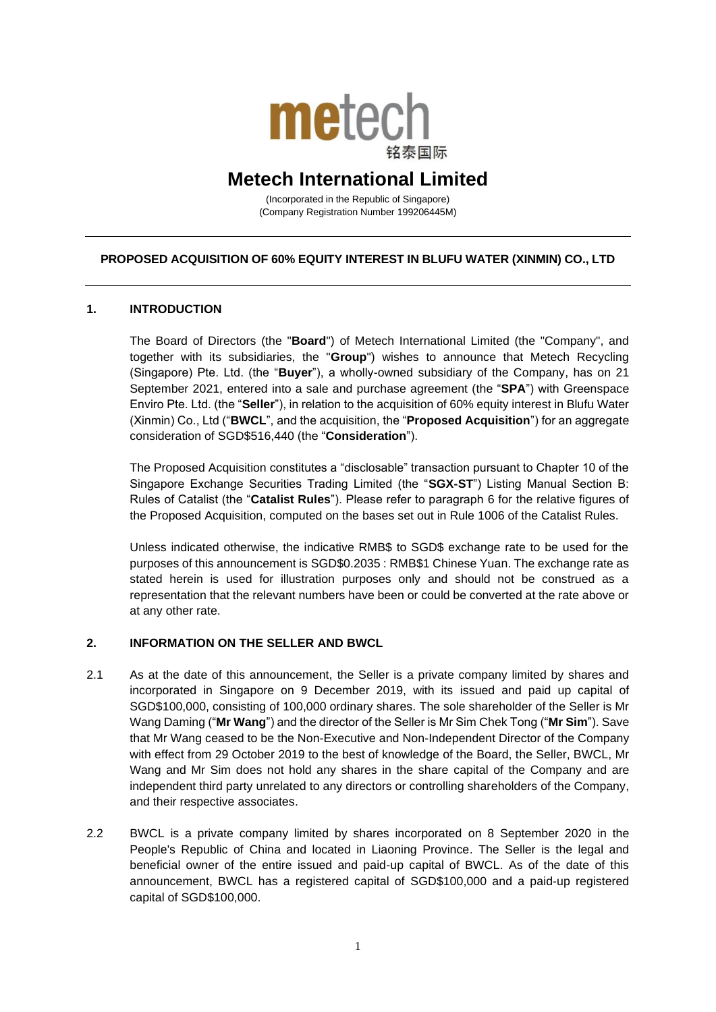

# **Metech International Limited**

(Incorporated in the Republic of Singapore) (Company Registration Number 199206445M)

# **PROPOSED ACQUISITION OF 60% EQUITY INTEREST IN BLUFU WATER (XINMIN) CO., LTD**

# **1. INTRODUCTION**

The Board of Directors (the "**Board**") of Metech International Limited (the "Company", and together with its subsidiaries, the "**Group**") wishes to announce that Metech Recycling (Singapore) Pte. Ltd. (the "**Buyer**"), a wholly-owned subsidiary of the Company, has on 21 September 2021, entered into a sale and purchase agreement (the "**SPA**") with Greenspace Enviro Pte. Ltd. (the "**Seller**"), in relation to the acquisition of 60% equity interest in Blufu Water (Xinmin) Co., Ltd ("**BWCL**", and the acquisition, the "**Proposed Acquisition**") for an aggregate consideration of SGD\$516,440 (the "**Consideration**").

The Proposed Acquisition constitutes a "disclosable" transaction pursuant to Chapter 10 of the Singapore Exchange Securities Trading Limited (the "**SGX-ST**") Listing Manual Section B: Rules of Catalist (the "**Catalist Rules**"). Please refer to paragraph 6 for the relative figures of the Proposed Acquisition, computed on the bases set out in Rule 1006 of the Catalist Rules.

Unless indicated otherwise, the indicative RMB\$ to SGD\$ exchange rate to be used for the purposes of this announcement is SGD\$0.2035 : RMB\$1 Chinese Yuan. The exchange rate as stated herein is used for illustration purposes only and should not be construed as a representation that the relevant numbers have been or could be converted at the rate above or at any other rate.

# **2. INFORMATION ON THE SELLER AND BWCL**

- 2.1 As at the date of this announcement, the Seller is a private company limited by shares and incorporated in Singapore on 9 December 2019, with its issued and paid up capital of SGD\$100,000, consisting of 100,000 ordinary shares. The sole shareholder of the Seller is Mr Wang Daming ("**Mr Wang**") and the director of the Seller is Mr Sim Chek Tong ("**Mr Sim**"). Save that Mr Wang ceased to be the Non-Executive and Non-Independent Director of the Company with effect from 29 October 2019 to the best of knowledge of the Board, the Seller, BWCL, Mr Wang and Mr Sim does not hold any shares in the share capital of the Company and are independent third party unrelated to any directors or controlling shareholders of the Company, and their respective associates.
- 2.2 BWCL is a private company limited by shares incorporated on 8 September 2020 in the People's Republic of China and located in Liaoning Province. The Seller is the legal and beneficial owner of the entire issued and paid-up capital of BWCL. As of the date of this announcement, BWCL has a registered capital of SGD\$100,000 and a paid-up registered capital of SGD\$100,000.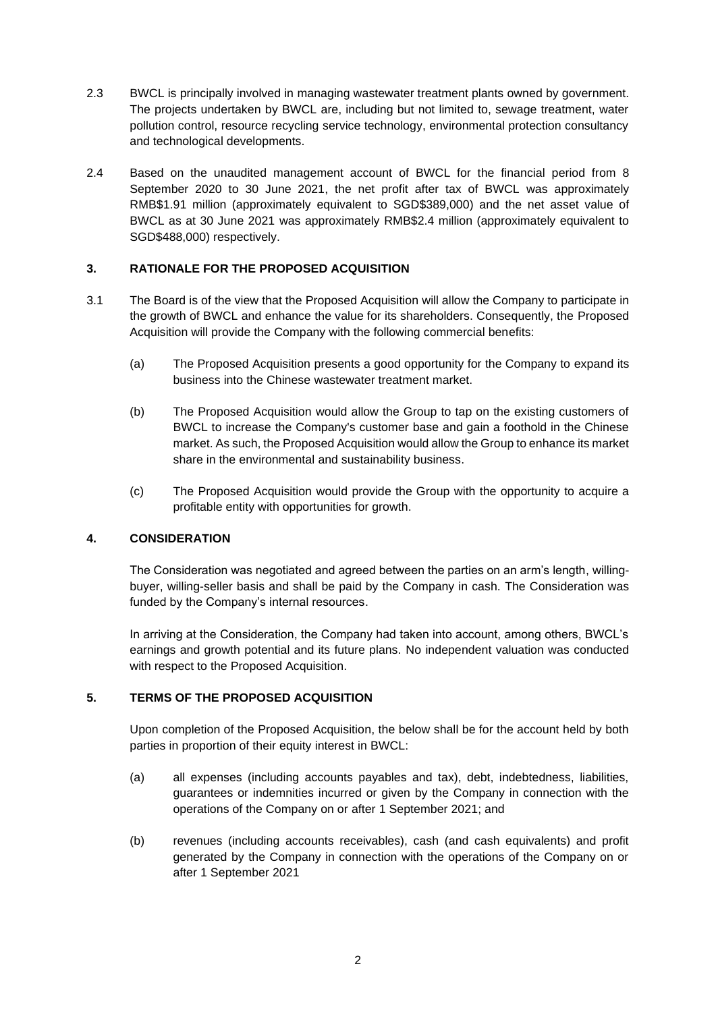- 2.3 BWCL is principally involved in managing wastewater treatment plants owned by government. The projects undertaken by BWCL are, including but not limited to, sewage treatment, water pollution control, resource recycling service technology, environmental protection consultancy and technological developments.
- 2.4 Based on the unaudited management account of BWCL for the financial period from 8 September 2020 to 30 June 2021, the net profit after tax of BWCL was approximately RMB\$1.91 million (approximately equivalent to SGD\$389,000) and the net asset value of BWCL as at 30 June 2021 was approximately RMB\$2.4 million (approximately equivalent to SGD\$488,000) respectively.

# **3. RATIONALE FOR THE PROPOSED ACQUISITION**

- 3.1 The Board is of the view that the Proposed Acquisition will allow the Company to participate in the growth of BWCL and enhance the value for its shareholders. Consequently, the Proposed Acquisition will provide the Company with the following commercial benefits:
	- (a) The Proposed Acquisition presents a good opportunity for the Company to expand its business into the Chinese wastewater treatment market.
	- (b) The Proposed Acquisition would allow the Group to tap on the existing customers of BWCL to increase the Company's customer base and gain a foothold in the Chinese market. As such, the Proposed Acquisition would allow the Group to enhance its market share in the environmental and sustainability business.
	- (c) The Proposed Acquisition would provide the Group with the opportunity to acquire a profitable entity with opportunities for growth.

# **4. CONSIDERATION**

The Consideration was negotiated and agreed between the parties on an arm's length, willingbuyer, willing-seller basis and shall be paid by the Company in cash. The Consideration was funded by the Company's internal resources.

In arriving at the Consideration, the Company had taken into account, among others, BWCL's earnings and growth potential and its future plans. No independent valuation was conducted with respect to the Proposed Acquisition.

# **5. TERMS OF THE PROPOSED ACQUISITION**

Upon completion of the Proposed Acquisition, the below shall be for the account held by both parties in proportion of their equity interest in BWCL:

- (a) all expenses (including accounts payables and tax), debt, indebtedness, liabilities, guarantees or indemnities incurred or given by the Company in connection with the operations of the Company on or after 1 September 2021; and
- (b) revenues (including accounts receivables), cash (and cash equivalents) and profit generated by the Company in connection with the operations of the Company on or after 1 September 2021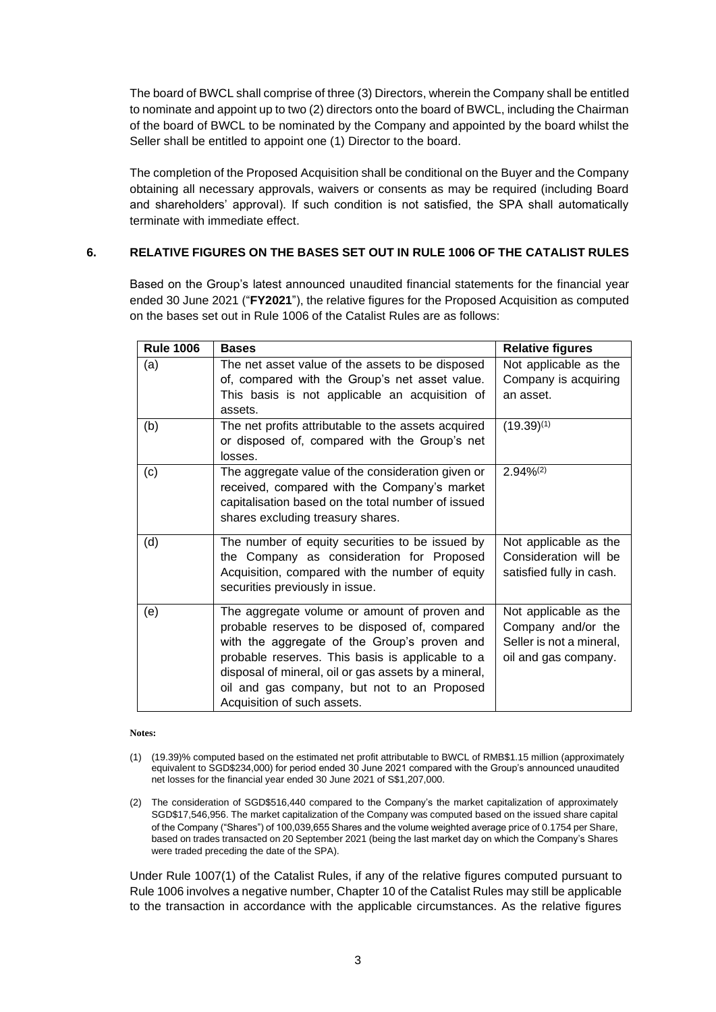The board of BWCL shall comprise of three (3) Directors, wherein the Company shall be entitled to nominate and appoint up to two (2) directors onto the board of BWCL, including the Chairman of the board of BWCL to be nominated by the Company and appointed by the board whilst the Seller shall be entitled to appoint one (1) Director to the board.

The completion of the Proposed Acquisition shall be conditional on the Buyer and the Company obtaining all necessary approvals, waivers or consents as may be required (including Board and shareholders' approval). If such condition is not satisfied, the SPA shall automatically terminate with immediate effect.

# **6. RELATIVE FIGURES ON THE BASES SET OUT IN RULE 1006 OF THE CATALIST RULES**

Based on the Group's latest announced unaudited financial statements for the financial year ended 30 June 2021 ("**FY2021**"), the relative figures for the Proposed Acquisition as computed on the bases set out in Rule 1006 of the Catalist Rules are as follows:

| <b>Rule 1006</b> | <b>Bases</b>                                         | <b>Relative figures</b>  |
|------------------|------------------------------------------------------|--------------------------|
| (a)              | The net asset value of the assets to be disposed     | Not applicable as the    |
|                  | of, compared with the Group's net asset value.       | Company is acquiring     |
|                  | This basis is not applicable an acquisition of       | an asset.                |
|                  | assets.                                              |                          |
| (b)              | The net profits attributable to the assets acquired  | $(19.39)^{(1)}$          |
|                  | or disposed of, compared with the Group's net        |                          |
|                  | losses.                                              |                          |
| (c)              | The aggregate value of the consideration given or    | $2.94\%^{(2)}$           |
|                  | received, compared with the Company's market         |                          |
|                  | capitalisation based on the total number of issued   |                          |
|                  | shares excluding treasury shares.                    |                          |
| (d)              | The number of equity securities to be issued by      | Not applicable as the    |
|                  | the Company as consideration for Proposed            | Consideration will be    |
|                  | Acquisition, compared with the number of equity      | satisfied fully in cash. |
|                  | securities previously in issue.                      |                          |
| (e)              | The aggregate volume or amount of proven and         | Not applicable as the    |
|                  | probable reserves to be disposed of, compared        | Company and/or the       |
|                  | with the aggregate of the Group's proven and         | Seller is not a mineral, |
|                  | probable reserves. This basis is applicable to a     | oil and gas company.     |
|                  | disposal of mineral, oil or gas assets by a mineral, |                          |
|                  | oil and gas company, but not to an Proposed          |                          |
|                  | Acquisition of such assets.                          |                          |

#### **Notes:**

(2) The consideration of SGD\$516,440 compared to the Company's the market capitalization of approximately SGD\$17,546,956. The market capitalization of the Company was computed based on the issued share capital of the Company ("Shares") of 100,039,655 Shares and the volume weighted average price of 0.1754 per Share, based on trades transacted on 20 September 2021 (being the last market day on which the Company's Shares were traded preceding the date of the SPA).

Under Rule 1007(1) of the Catalist Rules, if any of the relative figures computed pursuant to Rule 1006 involves a negative number, Chapter 10 of the Catalist Rules may still be applicable to the transaction in accordance with the applicable circumstances. As the relative figures

<sup>(1)</sup> (19.39)% computed based on the estimated net profit attributable to BWCL of RMB\$1.15 million (approximately equivalent to SGD\$234,000) for period ended 30 June 2021 compared with the Group's announced unaudited net losses for the financial year ended 30 June 2021 of S\$1,207,000.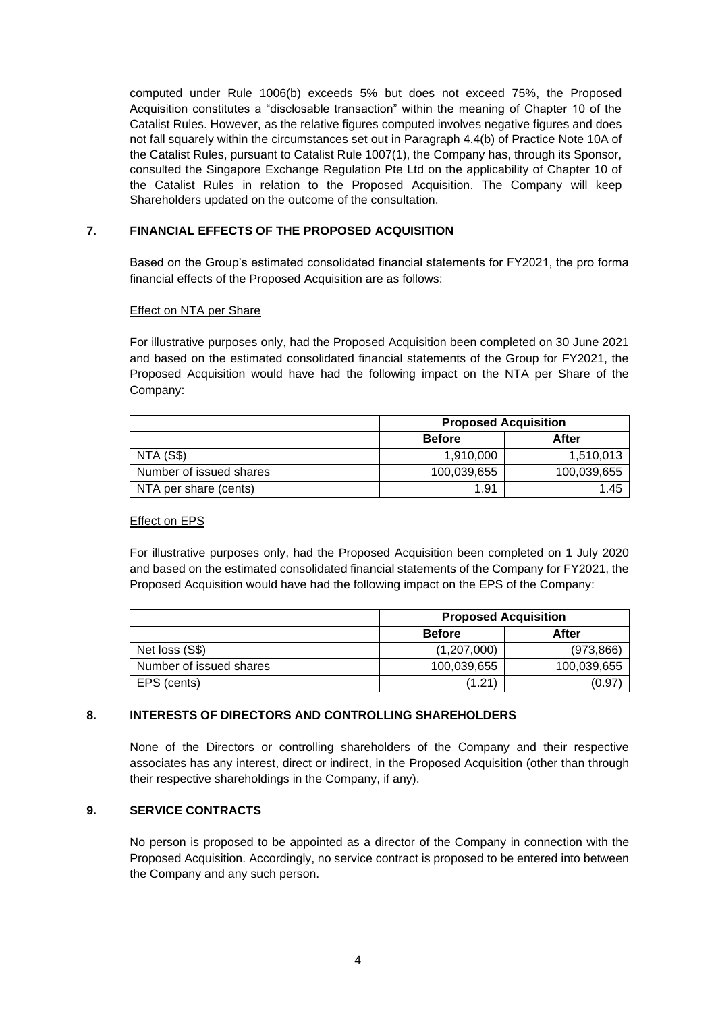computed under Rule 1006(b) exceeds 5% but does not exceed 75%, the Proposed Acquisition constitutes a "disclosable transaction" within the meaning of Chapter 10 of the Catalist Rules. However, as the relative figures computed involves negative figures and does not fall squarely within the circumstances set out in Paragraph 4.4(b) of Practice Note 10A of the Catalist Rules, pursuant to Catalist Rule 1007(1), the Company has, through its Sponsor, consulted the Singapore Exchange Regulation Pte Ltd on the applicability of Chapter 10 of the Catalist Rules in relation to the Proposed Acquisition. The Company will keep Shareholders updated on the outcome of the consultation.

# **7. FINANCIAL EFFECTS OF THE PROPOSED ACQUISITION**

Based on the Group's estimated consolidated financial statements for FY2021, the pro forma financial effects of the Proposed Acquisition are as follows:

# Effect on NTA per Share

For illustrative purposes only, had the Proposed Acquisition been completed on 30 June 2021 and based on the estimated consolidated financial statements of the Group for FY2021, the Proposed Acquisition would have had the following impact on the NTA per Share of the Company:

|                         | <b>Proposed Acquisition</b> |             |
|-------------------------|-----------------------------|-------------|
|                         | <b>Before</b>               | After       |
| NTA (S\$)               | 1.910.000                   | 1,510,013   |
| Number of issued shares | 100,039,655                 | 100,039,655 |
| NTA per share (cents)   | 1.91                        | 1.45        |

### Effect on EPS

For illustrative purposes only, had the Proposed Acquisition been completed on 1 July 2020 and based on the estimated consolidated financial statements of the Company for FY2021, the Proposed Acquisition would have had the following impact on the EPS of the Company:

|                         | <b>Proposed Acquisition</b> |             |
|-------------------------|-----------------------------|-------------|
|                         | <b>Before</b>               | After       |
| Net loss (S\$)          | (1,207,000)                 | (973, 866)  |
| Number of issued shares | 100,039,655                 | 100,039,655 |
| EPS (cents)             | (1.21                       | (0.97       |

# **8. INTERESTS OF DIRECTORS AND CONTROLLING SHAREHOLDERS**

None of the Directors or controlling shareholders of the Company and their respective associates has any interest, direct or indirect, in the Proposed Acquisition (other than through their respective shareholdings in the Company, if any).

# **9. SERVICE CONTRACTS**

No person is proposed to be appointed as a director of the Company in connection with the Proposed Acquisition. Accordingly, no service contract is proposed to be entered into between the Company and any such person.